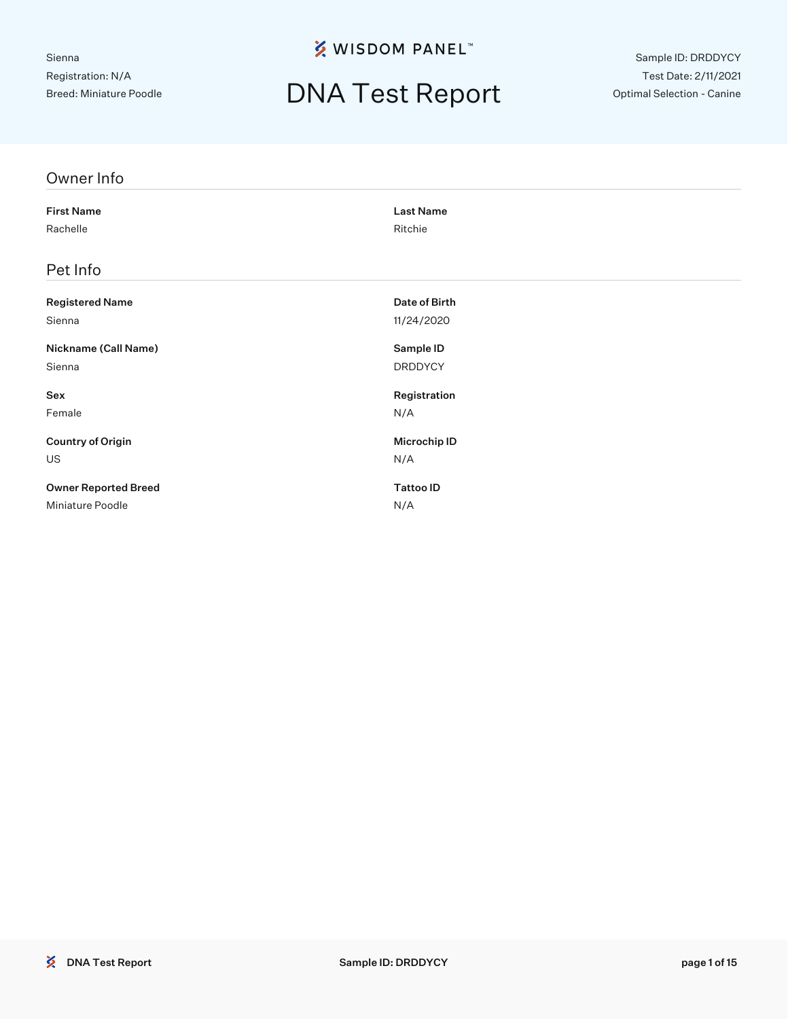## DNA Test Report

Sample ID: DRDDYCY Test Date: 2/11/2021 Optimal Selection - Canine

| Owner Info                  |                     |
|-----------------------------|---------------------|
| <b>First Name</b>           | <b>Last Name</b>    |
| Rachelle                    | Ritchie             |
| Pet Info                    |                     |
| <b>Registered Name</b>      | Date of Birth       |
| Sienna                      | 11/24/2020          |
| Nickname (Call Name)        | Sample ID           |
| Sienna                      | <b>DRDDYCY</b>      |
| Sex                         | Registration        |
| Female                      | N/A                 |
| <b>Country of Origin</b>    | <b>Microchip ID</b> |
| US                          | N/A                 |
| <b>Owner Reported Breed</b> | <b>Tattoo ID</b>    |
| Miniature Poodle            | N/A                 |
|                             |                     |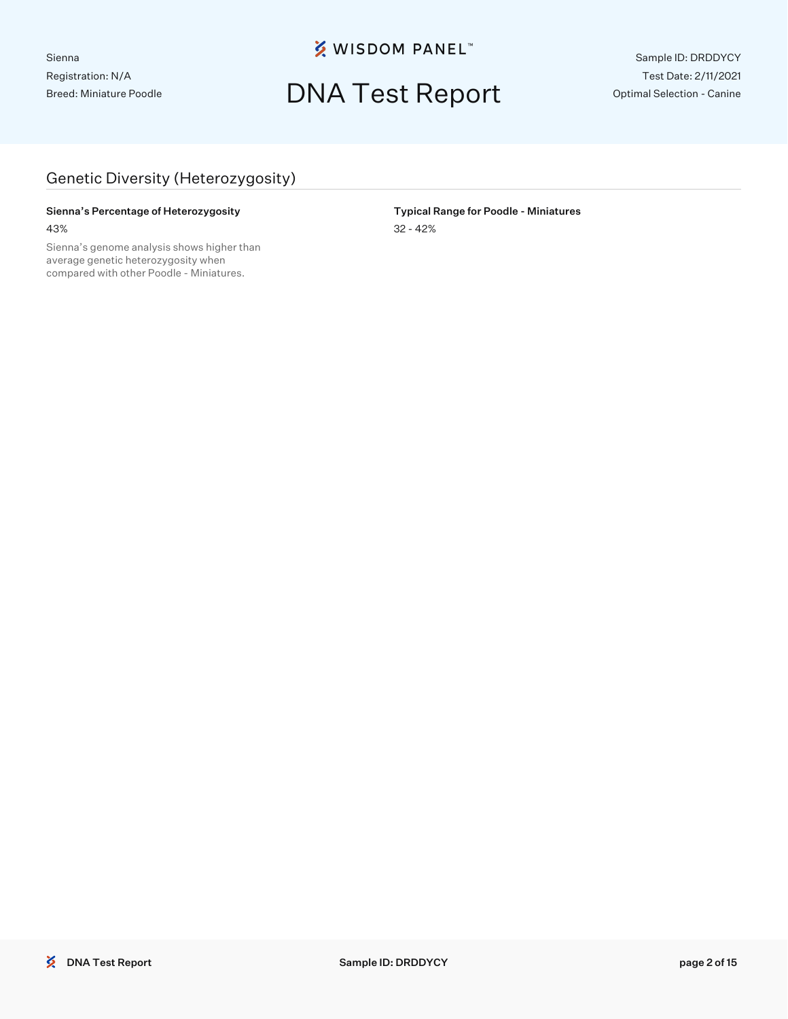### DNA Test Report

Sample ID: DRDDYCY Test Date: 2/11/2021 Optimal Selection - Canine

#### Genetic Diversity (Heterozygosity)

#### Sienna's Percentage of Heterozygosity **Typical Range for Poodle - Miniatures** 43% 32 - 42%

Sienna's genome analysis shows higher than average genetic heterozygosity when compared with other Poodle - Miniatures.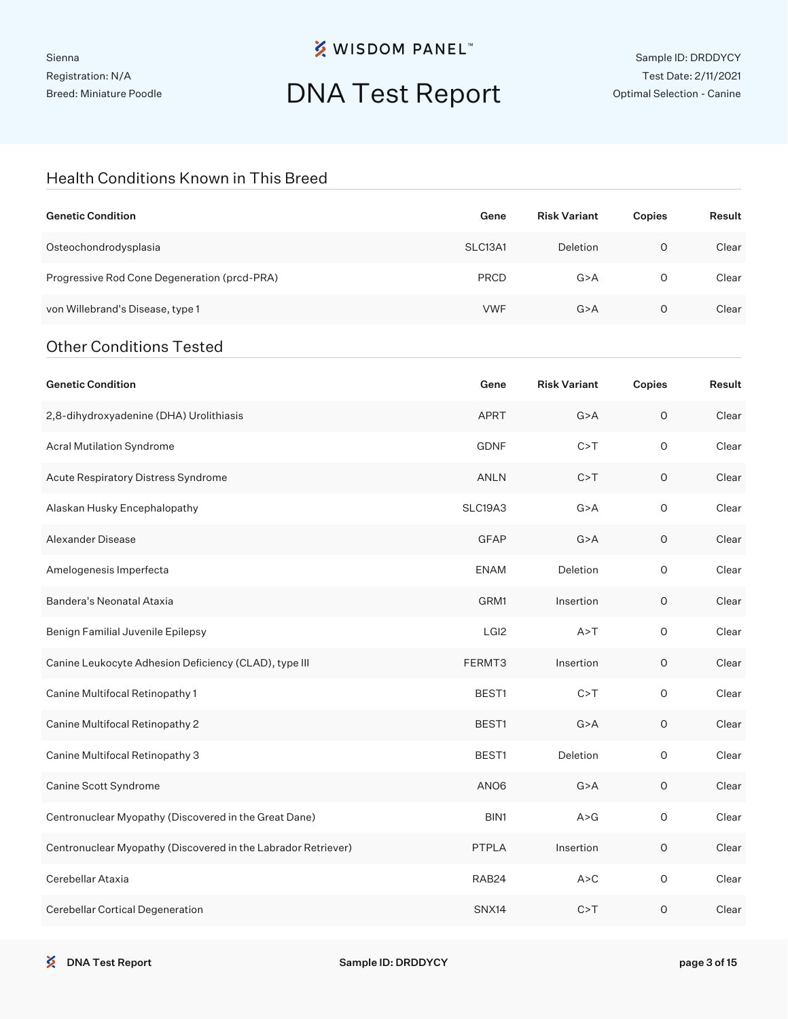# DNA Test Report

#### Health Conditions Known in This Breed

| <b>Genetic Condition</b>                                      | Gene             | <b>Risk Variant</b> | Copies      | Result |
|---------------------------------------------------------------|------------------|---------------------|-------------|--------|
| Osteochondrodysplasia                                         | SLC13A1          | Deletion            | $\mathsf O$ | Clear  |
| Progressive Rod Cone Degeneration (prcd-PRA)                  | <b>PRCD</b>      | G > A               | $\circ$     | Clear  |
| von Willebrand's Disease, type 1                              | <b>VWF</b>       | G > A               | $\mathsf O$ | Clear  |
| <b>Other Conditions Tested</b>                                |                  |                     |             |        |
| <b>Genetic Condition</b>                                      | Gene             | <b>Risk Variant</b> | Copies      | Result |
| 2,8-dihydroxyadenine (DHA) Urolithiasis                       | <b>APRT</b>      | G > A               | O           | Clear  |
| Acral Mutilation Syndrome                                     | <b>GDNF</b>      | C > T               | $\circ$     | Clear  |
| Acute Respiratory Distress Syndrome                           | ANLN             | C > T               | $\circ$     | Clear  |
| Alaskan Husky Encephalopathy                                  | SLC19A3          | G > A               | $\circ$     | Clear  |
| Alexander Disease                                             | GFAP             | G > A               | $\circ$     | Clear  |
| Amelogenesis Imperfecta                                       | <b>ENAM</b>      | Deletion            | $\mathsf O$ | Clear  |
| Bandera's Neonatal Ataxia                                     | GRM1             | Insertion           | $\circ$     | Clear  |
| Benign Familial Juvenile Epilepsy                             | LGI <sub>2</sub> | A > T               | $\circ$     | Clear  |
| Canine Leukocyte Adhesion Deficiency (CLAD), type III         | FERMT3           | Insertion           | $\circ$     | Clear  |
| Canine Multifocal Retinopathy 1                               | BEST1            | C > T               | $\circ$     | Clear  |
| Canine Multifocal Retinopathy 2                               | BEST1            | G > A               | $\circ$     | Clear  |
| Canine Multifocal Retinopathy 3                               | BEST1            | Deletion            | O           | Clear  |
| Canine Scott Syndrome                                         | ANO6             | G > A               | $\mathsf O$ | Clear  |
| Centronuclear Myopathy (Discovered in the Great Dane)         | BIN1             | A > G               | $\mathsf O$ | Clear  |
| Centronuclear Myopathy (Discovered in the Labrador Retriever) | PTPLA            | Insertion           | $\mathsf O$ | Clear  |
| Cerebellar Ataxia                                             | RAB24            | A > C               | O           | Clear  |
| Cerebellar Cortical Degeneration                              | SNX14            | C > T               | $\mathsf O$ | Clear  |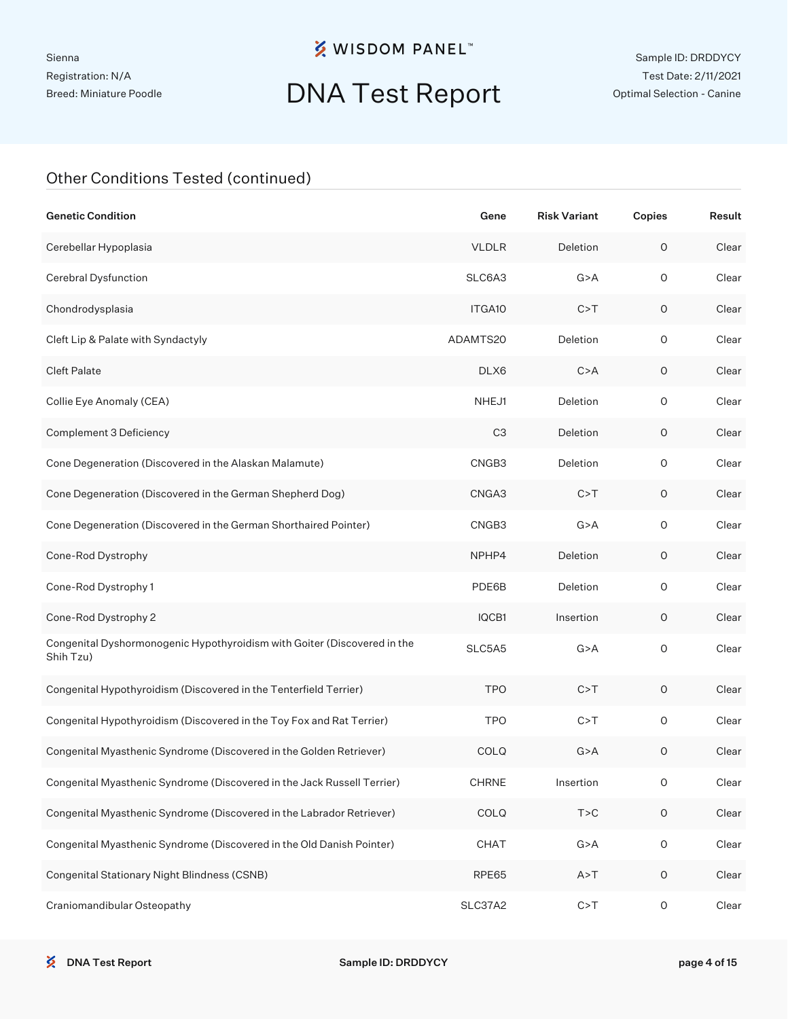Sienna Registration: N/A Breed: Miniature Poodle

### **※ WISDOM PANEL**™

# DNA Test Report

| <b>Genetic Condition</b>                                                              | Gene               | <b>Risk Variant</b> | Copies              | Result |
|---------------------------------------------------------------------------------------|--------------------|---------------------|---------------------|--------|
| Cerebellar Hypoplasia                                                                 | <b>VLDLR</b>       | Deletion            | $\mathsf O$         | Clear  |
| Cerebral Dysfunction                                                                  | SLC6A3             | G > A               | $\mathsf O$         | Clear  |
| Chondrodysplasia                                                                      | ITGA <sub>10</sub> | C > T               | $\mathsf O$         | Clear  |
| Cleft Lip & Palate with Syndactyly                                                    | ADAMTS20           | Deletion            | $\circ$             | Clear  |
| <b>Cleft Palate</b>                                                                   | DLX6               | C > A               | $\circ$             | Clear  |
| Collie Eye Anomaly (CEA)                                                              | NHEJ1              | Deletion            | $\circ$             | Clear  |
| Complement 3 Deficiency                                                               | C <sub>3</sub>     | Deletion            | $\circ$             | Clear  |
| Cone Degeneration (Discovered in the Alaskan Malamute)                                | CNGB3              | Deletion            | $\circ$             | Clear  |
| Cone Degeneration (Discovered in the German Shepherd Dog)                             | CNGA3              | C > T               | $\mathsf O$         | Clear  |
| Cone Degeneration (Discovered in the German Shorthaired Pointer)                      | CNGB3              | G > A               | $\mathsf O$         | Clear  |
| Cone-Rod Dystrophy                                                                    | NPHP4              | Deletion            | $\circ$             | Clear  |
| Cone-Rod Dystrophy 1                                                                  | PDE6B              | Deletion            | $\circ$             | Clear  |
| Cone-Rod Dystrophy 2                                                                  | IQCB1              | Insertion           | $\circ$             | Clear  |
| Congenital Dyshormonogenic Hypothyroidism with Goiter (Discovered in the<br>Shih Tzu) | SLC5A5             | G > A               | $\mathsf{O}\xspace$ | Clear  |
| Congenital Hypothyroidism (Discovered in the Tenterfield Terrier)                     | <b>TPO</b>         | C > T               | 0                   | Clear  |
| Congenital Hypothyroidism (Discovered in the Toy Fox and Rat Terrier)                 | <b>TPO</b>         | C > T               | 0                   | Clear  |
| Congenital Myasthenic Syndrome (Discovered in the Golden Retriever)                   | <b>COLQ</b>        | G > A               | 0                   | Clear  |
| Congenital Myasthenic Syndrome (Discovered in the Jack Russell Terrier)               | <b>CHRNE</b>       | Insertion           | O                   | Clear  |
| Congenital Myasthenic Syndrome (Discovered in the Labrador Retriever)                 | COLQ               | T > C               | $\mathsf O$         | Clear  |
| Congenital Myasthenic Syndrome (Discovered in the Old Danish Pointer)                 | CHAT               | G > A               | $\mathsf{O}\xspace$ | Clear  |
| Congenital Stationary Night Blindness (CSNB)                                          | RPE65              | A > T               | $\circ$             | Clear  |
| Craniomandibular Osteopathy                                                           | SLC37A2            | C > T               | O                   | Clear  |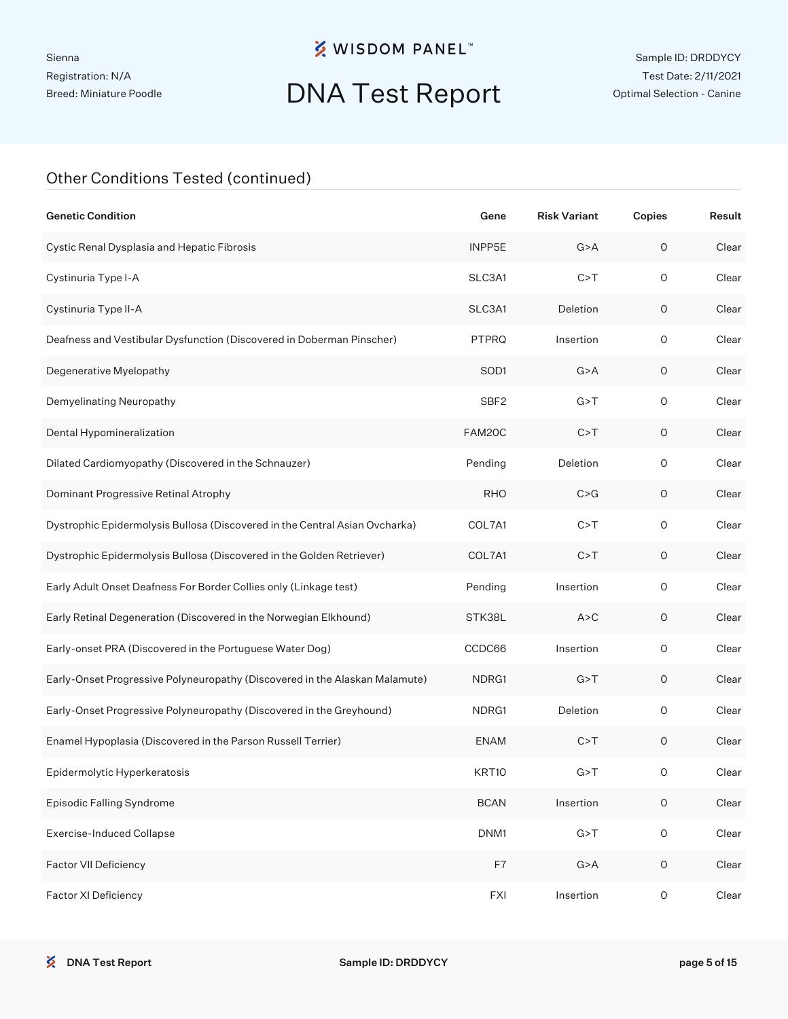# DNA Test Report

| <b>Genetic Condition</b>                                                    | Gene             | <b>Risk Variant</b> | Copies              | Result |
|-----------------------------------------------------------------------------|------------------|---------------------|---------------------|--------|
| Cystic Renal Dysplasia and Hepatic Fibrosis                                 | INPP5E           | G > A               | $\mathsf O$         | Clear  |
| Cystinuria Type I-A                                                         | SLC3A1           | C > T               | $\circ$             | Clear  |
| Cystinuria Type II-A                                                        | SLC3A1           | Deletion            | $\circ$             | Clear  |
| Deafness and Vestibular Dysfunction (Discovered in Doberman Pinscher)       | <b>PTPRQ</b>     | Insertion           | $\circ$             | Clear  |
| Degenerative Myelopathy                                                     | SOD <sub>1</sub> | G > A               | $\circ$             | Clear  |
| Demyelinating Neuropathy                                                    | SBF <sub>2</sub> | G > T               | $\circ$             | Clear  |
| Dental Hypomineralization                                                   | FAM20C           | C > T               | O                   | Clear  |
| Dilated Cardiomyopathy (Discovered in the Schnauzer)                        | Pending          | Deletion            | $\circ$             | Clear  |
| Dominant Progressive Retinal Atrophy                                        | <b>RHO</b>       | C > G               | O                   | Clear  |
| Dystrophic Epidermolysis Bullosa (Discovered in the Central Asian Ovcharka) | COL7A1           | C > T               | $\circ$             | Clear  |
| Dystrophic Epidermolysis Bullosa (Discovered in the Golden Retriever)       | COL7A1           | C > T               | O                   | Clear  |
| Early Adult Onset Deafness For Border Collies only (Linkage test)           | Pending          | Insertion           | $\circ$             | Clear  |
| Early Retinal Degeneration (Discovered in the Norwegian Elkhound)           | STK38L           | A > C               | O                   | Clear  |
| Early-onset PRA (Discovered in the Portuguese Water Dog)                    | CCDC66           | Insertion           | $\circ$             | Clear  |
| Early-Onset Progressive Polyneuropathy (Discovered in the Alaskan Malamute) | NDRG1            | G > T               | O                   | Clear  |
| Early-Onset Progressive Polyneuropathy (Discovered in the Greyhound)        | NDRG1            | Deletion            | $\circ$             | Clear  |
| Enamel Hypoplasia (Discovered in the Parson Russell Terrier)                | <b>ENAM</b>      | C > T               | O                   | Clear  |
| Epidermolytic Hyperkeratosis                                                | KRT10            | G > T               | 0                   | Clear  |
| Episodic Falling Syndrome                                                   | <b>BCAN</b>      | Insertion           | $\mathsf O$         | Clear  |
| <b>Exercise-Induced Collapse</b>                                            | DNM1             | G > T               | $\mathsf{O}\xspace$ | Clear  |
| Factor VII Deficiency                                                       | F7               | G > A               | $\mathsf O$         | Clear  |
| Factor XI Deficiency                                                        | <b>FXI</b>       | Insertion           | $\mathsf{O}\xspace$ | Clear  |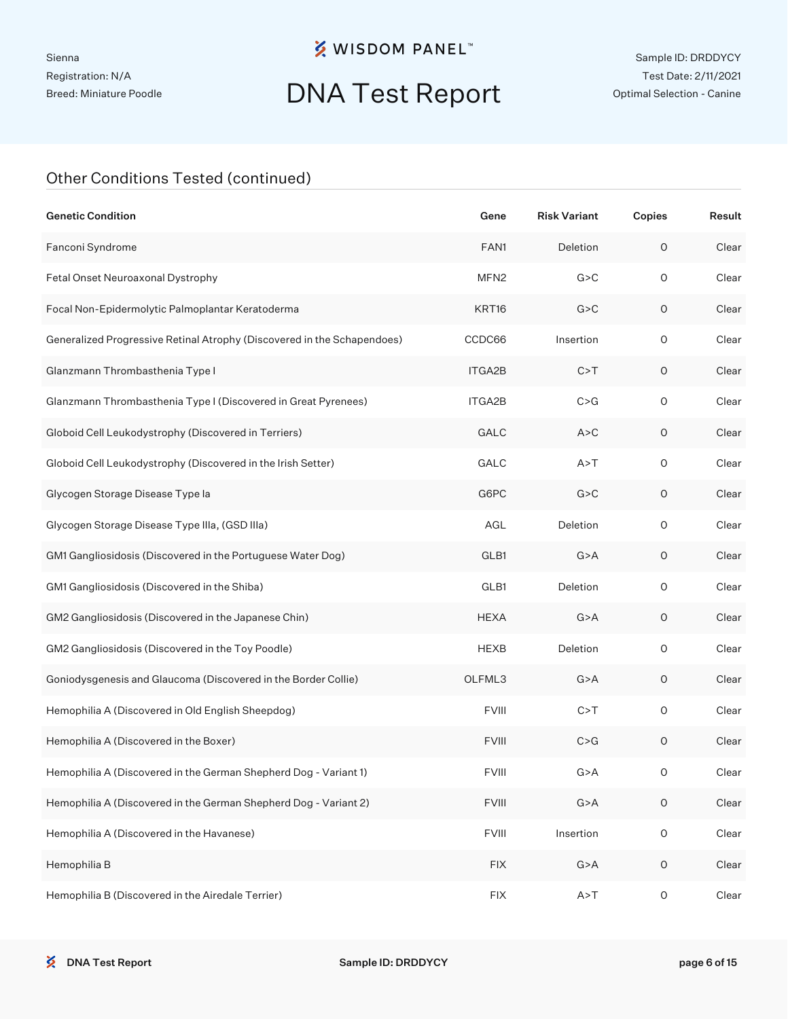# DNA Test Report

| <b>Genetic Condition</b>                                                | Gene                               | <b>Risk Variant</b> | Copies      | Result |
|-------------------------------------------------------------------------|------------------------------------|---------------------|-------------|--------|
| Fanconi Syndrome                                                        | FAN1                               | <b>Deletion</b>     | $\mathsf O$ | Clear  |
| Fetal Onset Neuroaxonal Dystrophy                                       | MFN <sub>2</sub>                   | G > C               | $\circ$     | Clear  |
| Focal Non-Epidermolytic Palmoplantar Keratoderma                        | KRT16                              | G > C               | $\mathsf O$ | Clear  |
| Generalized Progressive Retinal Atrophy (Discovered in the Schapendoes) | CCDC66                             | Insertion           | $\circ$     | Clear  |
| Glanzmann Thrombasthenia Type I                                         | ITGA2B                             | C > T               | 0           | Clear  |
| Glanzmann Thrombasthenia Type I (Discovered in Great Pyrenees)          | ITGA2B                             | C > G               | $\circ$     | Clear  |
| Globoid Cell Leukodystrophy (Discovered in Terriers)                    | GALC                               | A > C               | 0           | Clear  |
| Globoid Cell Leukodystrophy (Discovered in the Irish Setter)            | GALC                               | A > T               | $\circ$     | Clear  |
| Glycogen Storage Disease Type la                                        | G6PC                               | G > C               | 0           | Clear  |
| Glycogen Storage Disease Type IIIa, (GSD IIIa)                          | AGL                                | Deletion            | $\circ$     | Clear  |
| GM1 Gangliosidosis (Discovered in the Portuguese Water Dog)             | GLB1                               | G > A               | 0           | Clear  |
| GM1 Gangliosidosis (Discovered in the Shiba)                            | GLB1                               | Deletion            | $\circ$     | Clear  |
| GM2 Gangliosidosis (Discovered in the Japanese Chin)                    | <b>HEXA</b>                        | G > A               | 0           | Clear  |
| GM2 Gangliosidosis (Discovered in the Toy Poodle)                       | <b>HEXB</b>                        | Deletion            | $\circ$     | Clear  |
| Goniodysgenesis and Glaucoma (Discovered in the Border Collie)          | OLFML3                             | G > A               | 0           | Clear  |
| Hemophilia A (Discovered in Old English Sheepdog)                       | <b>FVIII</b>                       | C > T               | $\circ$     | Clear  |
| Hemophilia A (Discovered in the Boxer)                                  | <b>FVIII</b>                       | C > G               | $\mathsf O$ | Clear  |
| Hemophilia A (Discovered in the German Shepherd Dog - Variant 1)        | <b>FVIII</b>                       | G > A               | 0           | Clear  |
| Hemophilia A (Discovered in the German Shepherd Dog - Variant 2)        | <b>FVIII</b>                       | G > A               | $\mathsf O$ | Clear  |
| Hemophilia A (Discovered in the Havanese)                               | <b>FVIII</b>                       | Insertion           | $\mathsf O$ | Clear  |
| Hemophilia B                                                            | $\mathsf{FIX}$                     | G > A               | $\mathsf O$ | Clear  |
| Hemophilia B (Discovered in the Airedale Terrier)                       | $\mathsf{F} \mathsf{I} \mathsf{X}$ | A > T               | $\mathsf O$ | Clear  |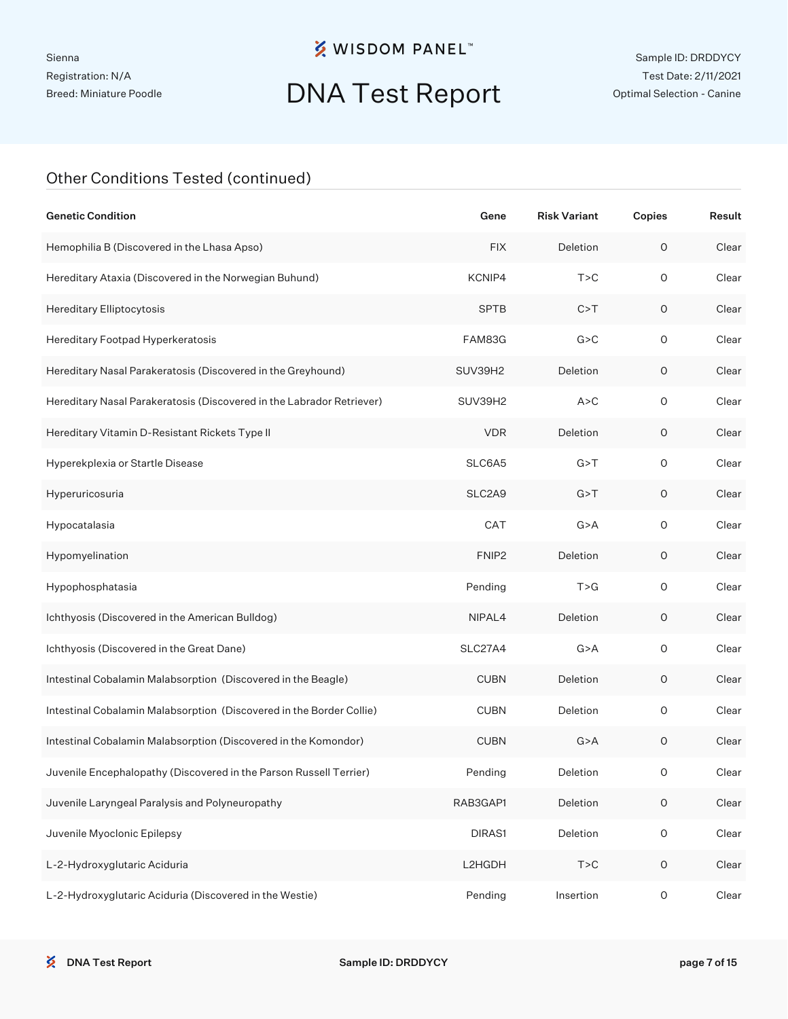# DNA Test Report

| <b>Genetic Condition</b>                                              | Gene              | <b>Risk Variant</b> | Copies              | Result |
|-----------------------------------------------------------------------|-------------------|---------------------|---------------------|--------|
| Hemophilia B (Discovered in the Lhasa Apso)                           | <b>FIX</b>        | Deletion            | $\mathsf O$         | Clear  |
| Hereditary Ataxia (Discovered in the Norwegian Buhund)                | KCNIP4            | T > C               | $\circ$             | Clear  |
| Hereditary Elliptocytosis                                             | <b>SPTB</b>       | C > T               | O                   | Clear  |
| Hereditary Footpad Hyperkeratosis                                     | FAM83G            | G > C               | $\circ$             | Clear  |
| Hereditary Nasal Parakeratosis (Discovered in the Greyhound)          | SUV39H2           | Deletion            | O                   | Clear  |
| Hereditary Nasal Parakeratosis (Discovered in the Labrador Retriever) | SUV39H2           | A > C               | $\circ$             | Clear  |
| Hereditary Vitamin D-Resistant Rickets Type II                        | <b>VDR</b>        | Deletion            | O                   | Clear  |
| Hyperekplexia or Startle Disease                                      | SLC6A5            | G > T               | $\circ$             | Clear  |
| Hyperuricosuria                                                       | SLC2A9            | G > T               | $\circ$             | Clear  |
| Hypocatalasia                                                         | CAT               | G > A               | $\circ$             | Clear  |
| Hypomyelination                                                       | FNIP <sub>2</sub> | Deletion            | $\circ$             | Clear  |
| Hypophosphatasia                                                      | Pending           | T > G               | $\circ$             | Clear  |
| Ichthyosis (Discovered in the American Bulldog)                       | NIPAL4            | Deletion            | $\circ$             | Clear  |
| Ichthyosis (Discovered in the Great Dane)                             | SLC27A4           | G > A               | $\circ$             | Clear  |
| Intestinal Cobalamin Malabsorption (Discovered in the Beagle)         | <b>CUBN</b>       | Deletion            | $\circ$             | Clear  |
| Intestinal Cobalamin Malabsorption (Discovered in the Border Collie)  | <b>CUBN</b>       | Deletion            | $\circ$             | Clear  |
| Intestinal Cobalamin Malabsorption (Discovered in the Komondor)       | <b>CUBN</b>       | G > A               | $\circ$             | Clear  |
| Juvenile Encephalopathy (Discovered in the Parson Russell Terrier)    | Pending           | Deletion            | O                   | Clear  |
| Juvenile Laryngeal Paralysis and Polyneuropathy                       | RAB3GAP1          | Deletion            | $\mathsf O$         | Clear  |
| Juvenile Myoclonic Epilepsy                                           | DIRAS1            | Deletion            | $\mathsf{O}\xspace$ | Clear  |
| L-2-Hydroxyglutaric Aciduria                                          | L2HGDH            | T > C               | $\mathsf O$         | Clear  |
| L-2-Hydroxyglutaric Aciduria (Discovered in the Westie)               | Pending           | Insertion           | O                   | Clear  |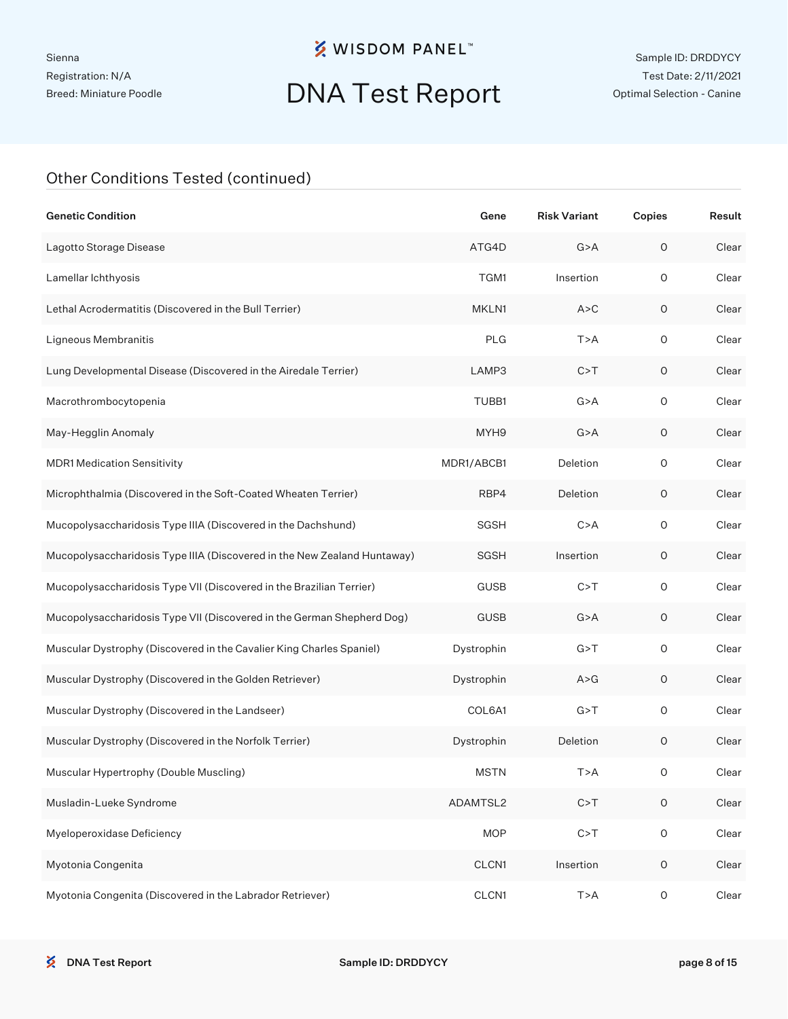# DNA Test Report

| <b>Genetic Condition</b>                                                 | Gene        | <b>Risk Variant</b> | Copies      | Result |
|--------------------------------------------------------------------------|-------------|---------------------|-------------|--------|
| Lagotto Storage Disease                                                  | ATG4D       | G > A               | $\mathsf O$ | Clear  |
| Lamellar Ichthyosis                                                      | TGM1        | Insertion           | $\circ$     | Clear  |
| Lethal Acrodermatitis (Discovered in the Bull Terrier)                   | MKLN1       | A > C               | $\mathsf O$ | Clear  |
| Ligneous Membranitis                                                     | <b>PLG</b>  | T>A                 | $\circ$     | Clear  |
| Lung Developmental Disease (Discovered in the Airedale Terrier)          | LAMP3       | C > T               | $\circ$     | Clear  |
| Macrothrombocytopenia                                                    | TUBB1       | G > A               | $\circ$     | Clear  |
| May-Hegglin Anomaly                                                      | MYH9        | G > A               | $\circ$     | Clear  |
| <b>MDR1 Medication Sensitivity</b>                                       | MDR1/ABCB1  | Deletion            | $\mathsf O$ | Clear  |
| Microphthalmia (Discovered in the Soft-Coated Wheaten Terrier)           | RBP4        | Deletion            | $\circ$     | Clear  |
| Mucopolysaccharidosis Type IIIA (Discovered in the Dachshund)            | SGSH        | C > A               | $\mathsf O$ | Clear  |
| Mucopolysaccharidosis Type IIIA (Discovered in the New Zealand Huntaway) | SGSH        | Insertion           | $\circ$     | Clear  |
| Mucopolysaccharidosis Type VII (Discovered in the Brazilian Terrier)     | <b>GUSB</b> | C > T               | $\circ$     | Clear  |
| Mucopolysaccharidosis Type VII (Discovered in the German Shepherd Dog)   | <b>GUSB</b> | G > A               | $\circ$     | Clear  |
| Muscular Dystrophy (Discovered in the Cavalier King Charles Spaniel)     | Dystrophin  | G > T               | $\mathsf O$ | Clear  |
| Muscular Dystrophy (Discovered in the Golden Retriever)                  | Dystrophin  | A > G               | 0           | Clear  |
| Muscular Dystrophy (Discovered in the Landseer)                          | COL6A1      | G > T               | $\circ$     | Clear  |
| Muscular Dystrophy (Discovered in the Norfolk Terrier)                   | Dystrophin  | Deletion            | $\mathsf O$ | Clear  |
| Muscular Hypertrophy (Double Muscling)                                   | <b>MSTN</b> | T>A                 | 0           | Clear  |
| Musladin-Lueke Syndrome                                                  | ADAMTSL2    | C > T               | $\mathsf O$ | Clear  |
| Myeloperoxidase Deficiency                                               | <b>MOP</b>  | C > T               | $\mathsf O$ | Clear  |
| Myotonia Congenita                                                       | CLCN1       | Insertion           | $\mathsf O$ | Clear  |
| Myotonia Congenita (Discovered in the Labrador Retriever)                | CLCN1       | T>A                 | $\mathsf O$ | Clear  |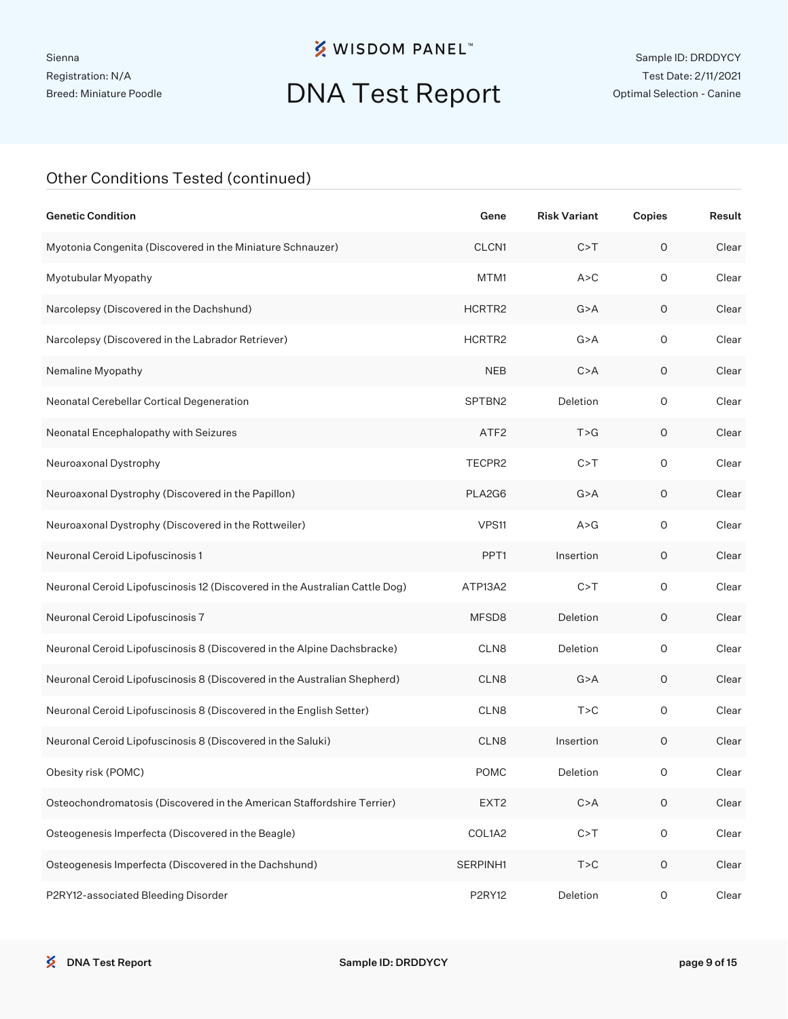# DNA Test Report

| <b>Genetic Condition</b>                                                    | Gene             | <b>Risk Variant</b> | Copies      | Result |
|-----------------------------------------------------------------------------|------------------|---------------------|-------------|--------|
| Myotonia Congenita (Discovered in the Miniature Schnauzer)                  | CLCN1            | C > T               | $\circ$     | Clear  |
| Myotubular Myopathy                                                         | MTM1             | A > C               | 0           | Clear  |
| Narcolepsy (Discovered in the Dachshund)                                    | HCRTR2           | G > A               | $\circ$     | Clear  |
| Narcolepsy (Discovered in the Labrador Retriever)                           | HCRTR2           | G > A               | 0           | Clear  |
| Nemaline Myopathy                                                           | <b>NEB</b>       | C > A               | $\circ$     | Clear  |
| Neonatal Cerebellar Cortical Degeneration                                   | SPTBN2           | Deletion            | 0           | Clear  |
| Neonatal Encephalopathy with Seizures                                       | ATF <sub>2</sub> | T > G               | $\circ$     | Clear  |
| Neuroaxonal Dystrophy                                                       | TECPR2           | C > T               | 0           | Clear  |
| Neuroaxonal Dystrophy (Discovered in the Papillon)                          | PLA2G6           | G > A               | $\circ$     | Clear  |
| Neuroaxonal Dystrophy (Discovered in the Rottweiler)                        | VPS11            | A > G               | $\circ$     | Clear  |
| Neuronal Ceroid Lipofuscinosis 1                                            | PPT1             | Insertion           | $\circ$     | Clear  |
| Neuronal Ceroid Lipofuscinosis 12 (Discovered in the Australian Cattle Dog) | ATP13A2          | C > T               | 0           | Clear  |
| Neuronal Ceroid Lipofuscinosis 7                                            | MFSD8            | Deletion            | $\circ$     | Clear  |
| Neuronal Ceroid Lipofuscinosis 8 (Discovered in the Alpine Dachsbracke)     | CLN8             | Deletion            | $\circ$     | Clear  |
| Neuronal Ceroid Lipofuscinosis 8 (Discovered in the Australian Shepherd)    | CLN8             | G > A               | $\circ$     | Clear  |
| Neuronal Ceroid Lipofuscinosis 8 (Discovered in the English Setter)         | CLN8             | T > C               | $\circ$     | Clear  |
| Neuronal Ceroid Lipofuscinosis 8 (Discovered in the Saluki)                 | CLN8             | Insertion           | $\circ$     | Clear  |
| Obesity risk (POMC)                                                         | <b>POMC</b>      | Deletion            | O           | Clear  |
| Osteochondromatosis (Discovered in the American Staffordshire Terrier)      | EXT <sub>2</sub> | C > A               | $\circ$     | Clear  |
| Osteogenesis Imperfecta (Discovered in the Beagle)                          | COL1A2           | C > T               | $\mathsf O$ | Clear  |
| Osteogenesis Imperfecta (Discovered in the Dachshund)                       | SERPINH1         | T > C               | $\mathsf O$ | Clear  |
| P2RY12-associated Bleeding Disorder                                         | P2RY12           | Deletion            | O           | Clear  |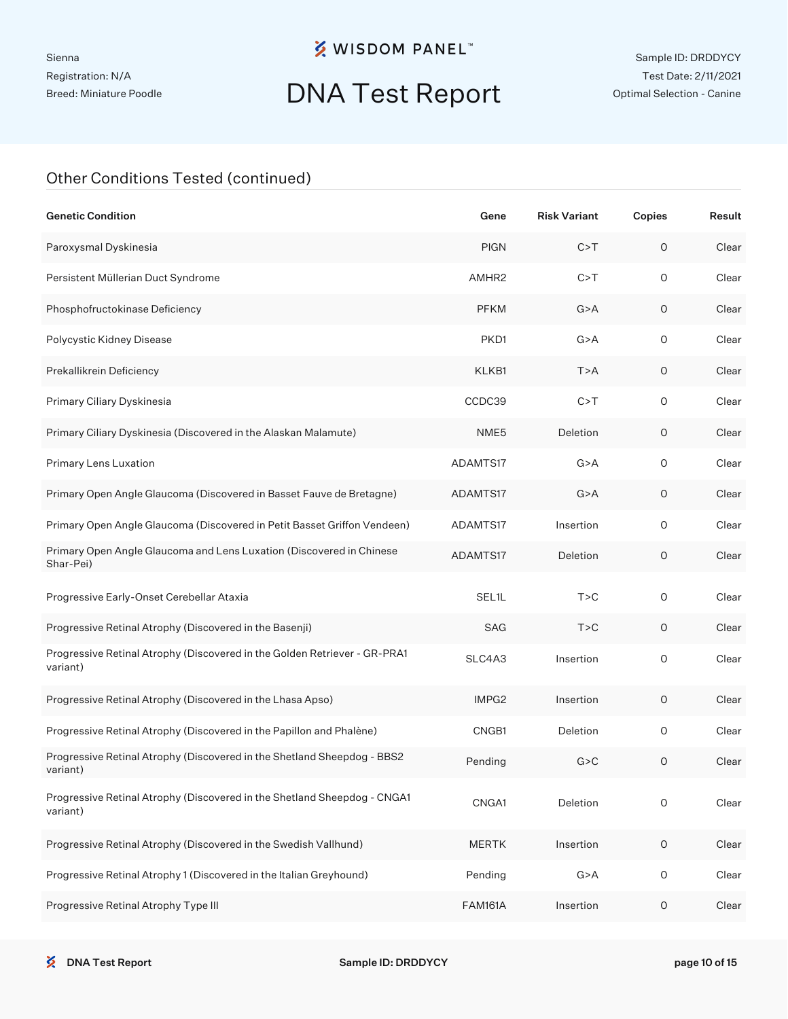# DNA Test Report

| <b>Genetic Condition</b>                                                              | Gene           | <b>Risk Variant</b> | Copies      | Result |
|---------------------------------------------------------------------------------------|----------------|---------------------|-------------|--------|
| Paroxysmal Dyskinesia                                                                 | <b>PIGN</b>    | C > T               | 0           | Clear  |
| Persistent Müllerian Duct Syndrome                                                    | AMHR2          | C > T               | $\circ$     | Clear  |
| Phosphofructokinase Deficiency                                                        | <b>PFKM</b>    | G > A               | 0           | Clear  |
| Polycystic Kidney Disease                                                             | PKD1           | G > A               | $\circ$     | Clear  |
| Prekallikrein Deficiency                                                              | KLKB1          | T > A               | 0           | Clear  |
| Primary Ciliary Dyskinesia                                                            | CCDC39         | C > T               | $\circ$     | Clear  |
| Primary Ciliary Dyskinesia (Discovered in the Alaskan Malamute)                       | NME5           | Deletion            | 0           | Clear  |
| Primary Lens Luxation                                                                 | ADAMTS17       | G > A               | $\circ$     | Clear  |
| Primary Open Angle Glaucoma (Discovered in Basset Fauve de Bretagne)                  | ADAMTS17       | G > A               | 0           | Clear  |
| Primary Open Angle Glaucoma (Discovered in Petit Basset Griffon Vendeen)              | ADAMTS17       | Insertion           | $\circ$     | Clear  |
| Primary Open Angle Glaucoma and Lens Luxation (Discovered in Chinese<br>Shar-Pei)     | ADAMTS17       | Deletion            | $\circ$     | Clear  |
| Progressive Early-Onset Cerebellar Ataxia                                             | SEL1L          | T > C               | 0           | Clear  |
| Progressive Retinal Atrophy (Discovered in the Basenji)                               | <b>SAG</b>     | T > C               | 0           | Clear  |
| Progressive Retinal Atrophy (Discovered in the Golden Retriever - GR-PRA1<br>variant) | SLC4A3         | Insertion           | 0           | Clear  |
| Progressive Retinal Atrophy (Discovered in the Lhasa Apso)                            | IMPG2          | Insertion           | $\circ$     | Clear  |
| Progressive Retinal Atrophy (Discovered in the Papillon and Phalène)                  | CNGB1          | Deletion            | $\circ$     | Clear  |
| Progressive Retinal Atrophy (Discovered in the Shetland Sheepdog - BBS2<br>variant)   | Pending        | G > C               | $\circ$     | Clear  |
| Progressive Retinal Atrophy (Discovered in the Shetland Sheepdog - CNGA1<br>variant)  | CNGA1          | Deletion            | O           | Clear  |
| Progressive Retinal Atrophy (Discovered in the Swedish Vallhund)                      | <b>MERTK</b>   | Insertion           | $\circ$     | Clear  |
| Progressive Retinal Atrophy 1 (Discovered in the Italian Greyhound)                   | Pending        | G > A               | $\mathsf O$ | Clear  |
| Progressive Retinal Atrophy Type III                                                  | <b>FAM161A</b> | Insertion           | $\circ$     | Clear  |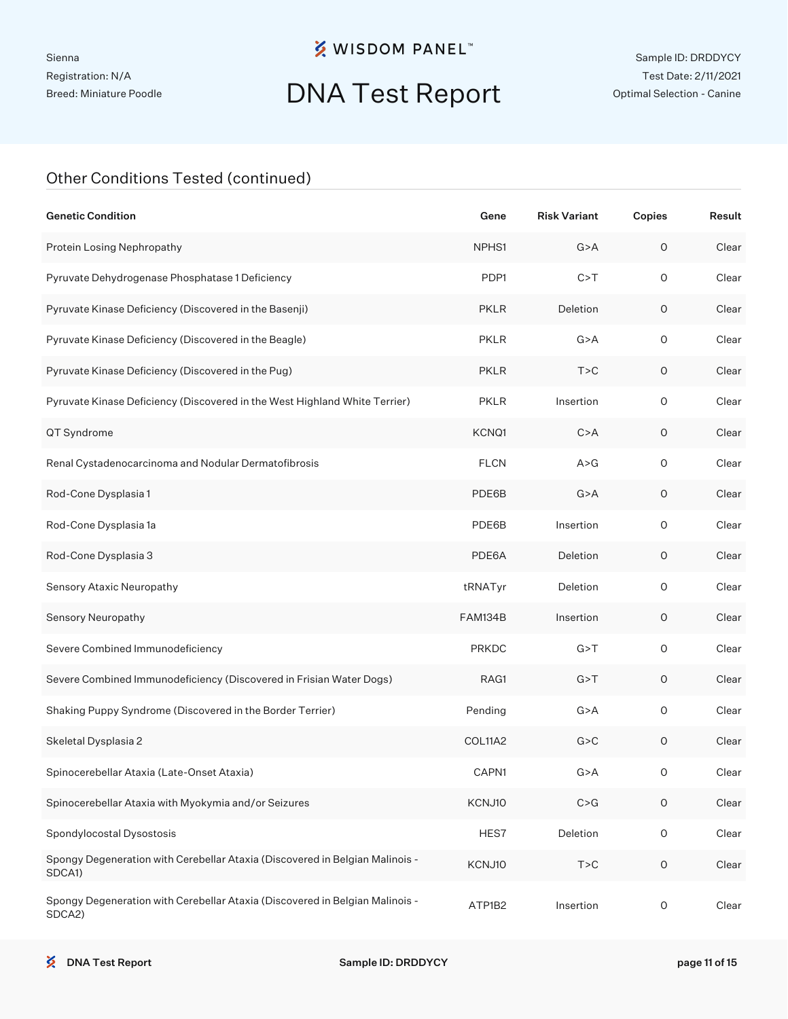# DNA Test Report

| <b>Genetic Condition</b>                                                               | Gene         | <b>Risk Variant</b> | Copies              | Result |
|----------------------------------------------------------------------------------------|--------------|---------------------|---------------------|--------|
| Protein Losing Nephropathy                                                             | NPHS1        | G > A               | 0                   | Clear  |
| Pyruvate Dehydrogenase Phosphatase 1 Deficiency                                        | PDP1         | C > T               | $\circ$             | Clear  |
| Pyruvate Kinase Deficiency (Discovered in the Basenji)                                 | <b>PKLR</b>  | Deletion            | $\circ$             | Clear  |
| Pyruvate Kinase Deficiency (Discovered in the Beagle)                                  | <b>PKLR</b>  | G > A               | O                   | Clear  |
| Pyruvate Kinase Deficiency (Discovered in the Pug)                                     | <b>PKLR</b>  | T > C               | 0                   | Clear  |
| Pyruvate Kinase Deficiency (Discovered in the West Highland White Terrier)             | <b>PKLR</b>  | Insertion           | O                   | Clear  |
| QT Syndrome                                                                            | KCNQ1        | C > A               | 0                   | Clear  |
| Renal Cystadenocarcinoma and Nodular Dermatofibrosis                                   | <b>FLCN</b>  | A > G               | O                   | Clear  |
| Rod-Cone Dysplasia 1                                                                   | PDE6B        | G > A               | 0                   | Clear  |
| Rod-Cone Dysplasia 1a                                                                  | PDE6B        | Insertion           | O                   | Clear  |
| Rod-Cone Dysplasia 3                                                                   | PDE6A        | Deletion            | 0                   | Clear  |
| Sensory Ataxic Neuropathy                                                              | tRNATyr      | Deletion            | O                   | Clear  |
| Sensory Neuropathy                                                                     | FAM134B      | Insertion           | 0                   | Clear  |
| Severe Combined Immunodeficiency                                                       | <b>PRKDC</b> | G > T               | $\mathsf O$         | Clear  |
| Severe Combined Immunodeficiency (Discovered in Frisian Water Dogs)                    | RAG1         | G > T               | 0                   | Clear  |
| Shaking Puppy Syndrome (Discovered in the Border Terrier)                              | Pending      | G > A               | $\mathsf O$         | Clear  |
| Skeletal Dysplasia 2                                                                   | COL11A2      | G > C               | 0                   | Clear  |
| Spinocerebellar Ataxia (Late-Onset Ataxia)                                             | CAPN1        | G > A               | O                   | Clear  |
| Spinocerebellar Ataxia with Myokymia and/or Seizures                                   | KCNJ10       | C > G               | $\mathsf O$         | Clear  |
| Spondylocostal Dysostosis                                                              | HES7         | Deletion            | $\mathsf{O}\xspace$ | Clear  |
| Spongy Degeneration with Cerebellar Ataxia (Discovered in Belgian Malinois -<br>SDCA1) | KCNJ10       | T > C               | $\mathsf O$         | Clear  |
| Spongy Degeneration with Cerebellar Ataxia (Discovered in Belgian Malinois -<br>SDCA2) | ATP1B2       | Insertion           | O                   | Clear  |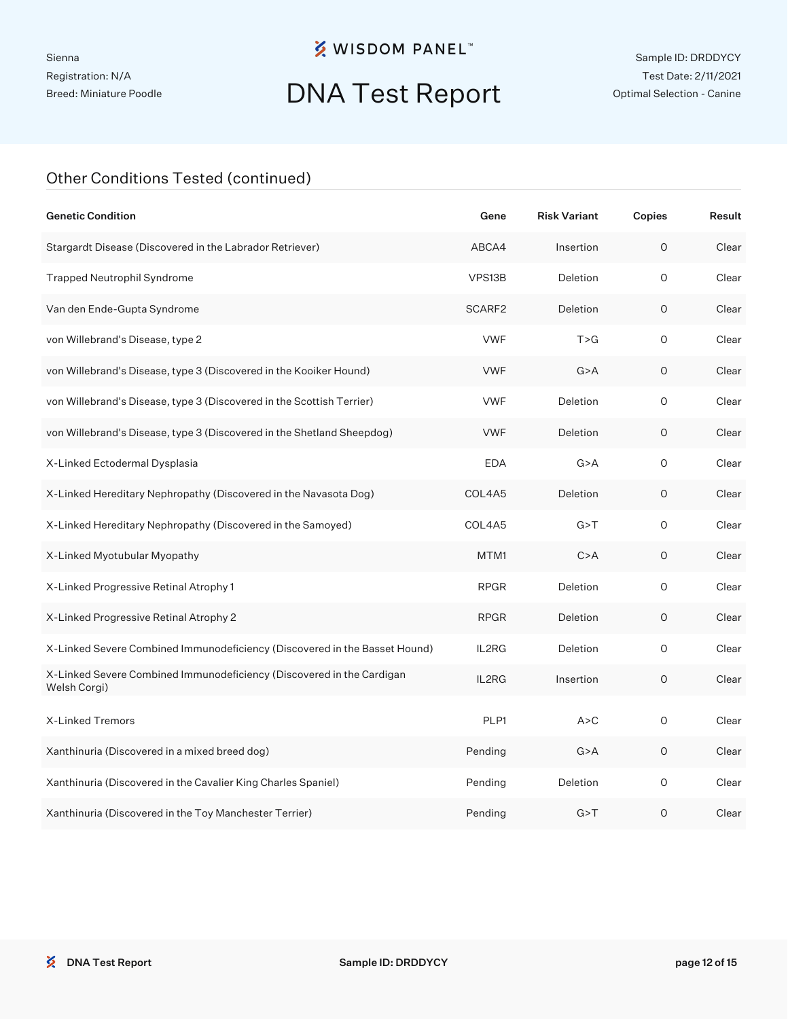# DNA Test Report

| <b>Genetic Condition</b>                                                              | Gene        | <b>Risk Variant</b> | Copies  | Result |
|---------------------------------------------------------------------------------------|-------------|---------------------|---------|--------|
| Stargardt Disease (Discovered in the Labrador Retriever)                              | ABCA4       | Insertion           | $\circ$ | Clear  |
| <b>Trapped Neutrophil Syndrome</b>                                                    | VPS13B      | Deletion            | 0       | Clear  |
| Van den Ende-Gupta Syndrome                                                           | SCARF2      | Deletion            | 0       | Clear  |
| von Willebrand's Disease, type 2                                                      | <b>VWF</b>  | T > G               | O       | Clear  |
| von Willebrand's Disease, type 3 (Discovered in the Kooiker Hound)                    | <b>VWF</b>  | G > A               | 0       | Clear  |
| von Willebrand's Disease, type 3 (Discovered in the Scottish Terrier)                 | <b>VWF</b>  | Deletion            | O       | Clear  |
| von Willebrand's Disease, type 3 (Discovered in the Shetland Sheepdog)                | <b>VWF</b>  | Deletion            | 0       | Clear  |
| X-Linked Ectodermal Dysplasia                                                         | <b>EDA</b>  | G > A               | 0       | Clear  |
| X-Linked Hereditary Nephropathy (Discovered in the Navasota Dog)                      | COL4A5      | Deletion            | O       | Clear  |
| X-Linked Hereditary Nephropathy (Discovered in the Samoyed)                           | COL4A5      | G > T               | 0       | Clear  |
| X-Linked Myotubular Myopathy                                                          | MTM1        | C > A               | O       | Clear  |
| X-Linked Progressive Retinal Atrophy 1                                                | <b>RPGR</b> | Deletion            | O       | Clear  |
| X-Linked Progressive Retinal Atrophy 2                                                | <b>RPGR</b> | Deletion            | O       | Clear  |
| X-Linked Severe Combined Immunodeficiency (Discovered in the Basset Hound)            | IL2RG       | Deletion            | O       | Clear  |
| X-Linked Severe Combined Immunodeficiency (Discovered in the Cardigan<br>Welsh Corgi) | IL2RG       | Insertion           | 0       | Clear  |
| X-Linked Tremors                                                                      | PLP1        | A > C               | 0       | Clear  |
| Xanthinuria (Discovered in a mixed breed dog)                                         | Pending     | G > A               | 0       | Clear  |
| Xanthinuria (Discovered in the Cavalier King Charles Spaniel)                         | Pending     | Deletion            | 0       | Clear  |
| Xanthinuria (Discovered in the Toy Manchester Terrier)                                | Pending     | G > T               | O       | Clear  |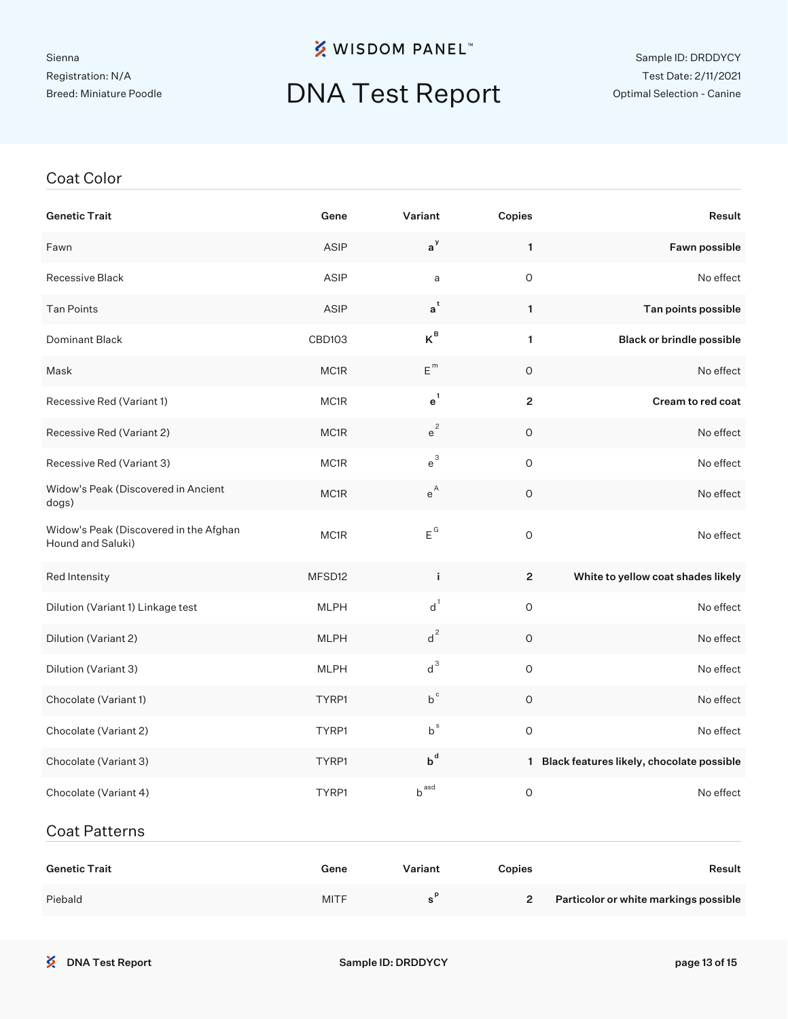#### Sienna Registration: N/A Breed: Miniature Poodle

### **※ WISDOM PANEL**™

## DNA Test Report

#### Sample ID: DRDDYCY Test Date: 2/11/2021 Optimal Selection - Canine

#### Coat Color

| <b>Genetic Trait</b>                                        | Gene        | Variant                 | Copies         | Result                                      |
|-------------------------------------------------------------|-------------|-------------------------|----------------|---------------------------------------------|
| Fawn                                                        | <b>ASIP</b> | $a^y$                   | $\mathbf{1}$   | Fawn possible                               |
| Recessive Black                                             | <b>ASIP</b> | a                       | $\mathsf O$    | No effect                                   |
| <b>Tan Points</b>                                           | ASIP        | $\mathsf{a}^\mathsf{t}$ | $\mathbf{1}$   | Tan points possible                         |
| Dominant Black                                              | CBD103      | $K^B$                   | $\mathbf{1}$   | <b>Black or brindle possible</b>            |
| Mask                                                        | MC1R        | $E^{m}$                 | $\circ$        | No effect                                   |
| Recessive Red (Variant 1)                                   | MC1R        | $e^1$                   | $\overline{2}$ | Cream to red coat                           |
| Recessive Red (Variant 2)                                   | MC1R        | $e^2$                   | O              | No effect                                   |
| Recessive Red (Variant 3)                                   | MC1R        | $e^{3}$                 | $\mathsf O$    | No effect                                   |
| Widow's Peak (Discovered in Ancient<br>dogs)                | MC1R        | $\mathsf{e}^\mathsf{A}$ | O              | No effect                                   |
| Widow's Peak (Discovered in the Afghan<br>Hound and Saluki) | MC1R        | $E^G$                   | $\mathsf{O}$   | No effect                                   |
| Red Intensity                                               | MFSD12      | j.                      | $\overline{2}$ | White to yellow coat shades likely          |
| Dilution (Variant 1) Linkage test                           | <b>MLPH</b> | $d^1$                   | $\mathsf O$    | No effect                                   |
| Dilution (Variant 2)                                        | <b>MLPH</b> | $d^2$                   | $\circ$        | No effect                                   |
| Dilution (Variant 3)                                        | <b>MLPH</b> | $d^3$                   | $\circ$        | No effect                                   |
| Chocolate (Variant 1)                                       | TYRP1       | $b^{\circ}$             | $\circ$        | No effect                                   |
| Chocolate (Variant 2)                                       | TYRP1       | $b^s$                   | $\mathsf O$    | No effect                                   |
| Chocolate (Variant 3)                                       | TYRP1       | $b^d$                   |                | 1 Black features likely, chocolate possible |
| Chocolate (Variant 4)                                       | TYRP1       | $b^{ \, \text{asd}}$    | $\mathsf O$    | No effect                                   |
| <b>Coat Patterns</b>                                        |             |                         |                |                                             |

| <b>Genetic Trait</b> | Gene        | Variant | Copies | Result                                |
|----------------------|-------------|---------|--------|---------------------------------------|
| Piebald              | <b>MITF</b> |         |        | Particolor or white markings possible |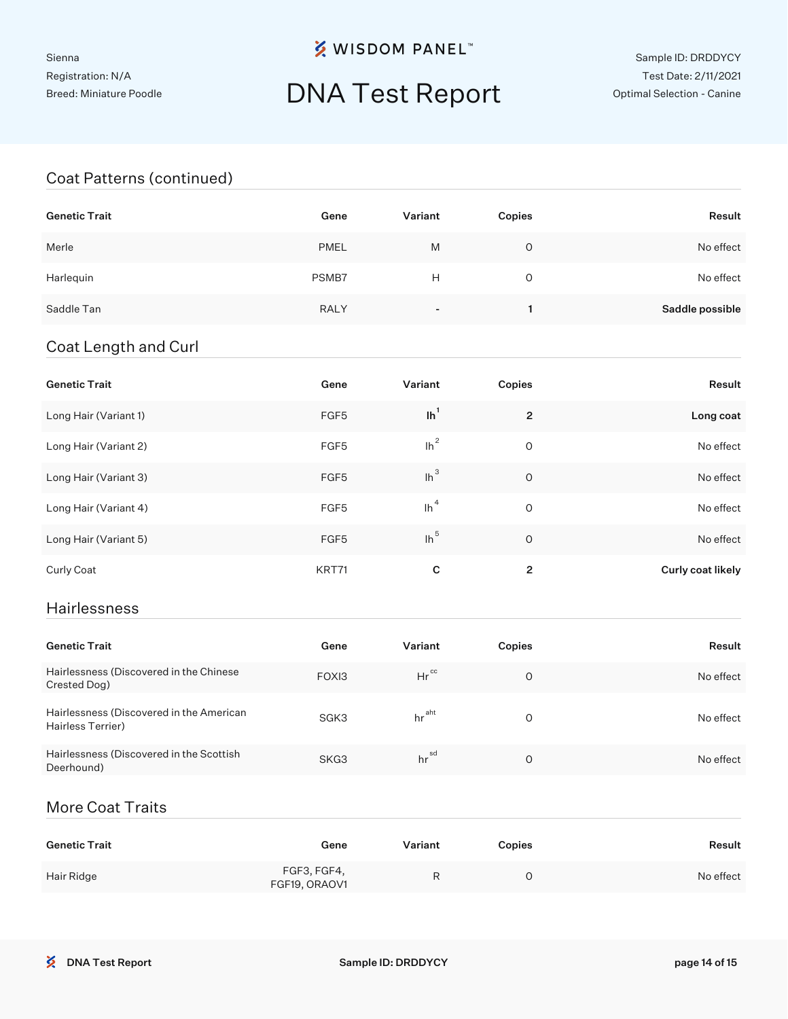## DNA Test Report

#### Coat Patterns (continued)

| <b>Genetic Trait</b> | Gene        | Variant | Copies | Result          |
|----------------------|-------------|---------|--------|-----------------|
| Merle                | <b>PMEL</b> | M       | 0      | No effect       |
| Harlequin            | PSMB7       | Н       | 0      | No effect       |
| Saddle Tan           | <b>RALY</b> |         |        | Saddle possible |

#### Coat Length and Curl

| <b>Genetic Trait</b>  | Gene             | Variant | Copies         | Result            |
|-----------------------|------------------|---------|----------------|-------------------|
| Long Hair (Variant 1) | FGF5             | $\ln^1$ | $\overline{2}$ | Long coat         |
| Long Hair (Variant 2) | FGF <sub>5</sub> | $lh^2$  | 0              | No effect         |
| Long Hair (Variant 3) | FGF <sub>5</sub> | $lh^3$  | $\circ$        | No effect         |
| Long Hair (Variant 4) | FGF <sub>5</sub> | $\ln^4$ | 0              | No effect         |
| Long Hair (Variant 5) | FGF <sub>5</sub> | $lh^5$  | $\circ$        | No effect         |
| Curly Coat            | KRT71            | C       | $\overline{2}$ | Curly coat likely |

#### Hairlessness

| <b>Genetic Trait</b>                                          | Gene  | Variant           | Copies   | Result    |
|---------------------------------------------------------------|-------|-------------------|----------|-----------|
| Hairlessness (Discovered in the Chinese<br>Crested Dog)       | FOXI3 | $Hr^{cc}$         | O        | No effect |
| Hairlessness (Discovered in the American<br>Hairless Terrier) | SGK3  | hr <sup>aht</sup> | $\Omega$ | No effect |
| Hairlessness (Discovered in the Scottish<br>Deerhound)        | SKG3  | hr <sup>sd</sup>  | O        | No effect |

#### More Coat Traits

| <b>Genetic Trait</b> | Gene                         | Variant | <b>Copies</b> | Result    |
|----------------------|------------------------------|---------|---------------|-----------|
| Hair Ridge           | FGF3, FGF4,<br>FGF19, ORAOV1 | R       |               | No effect |